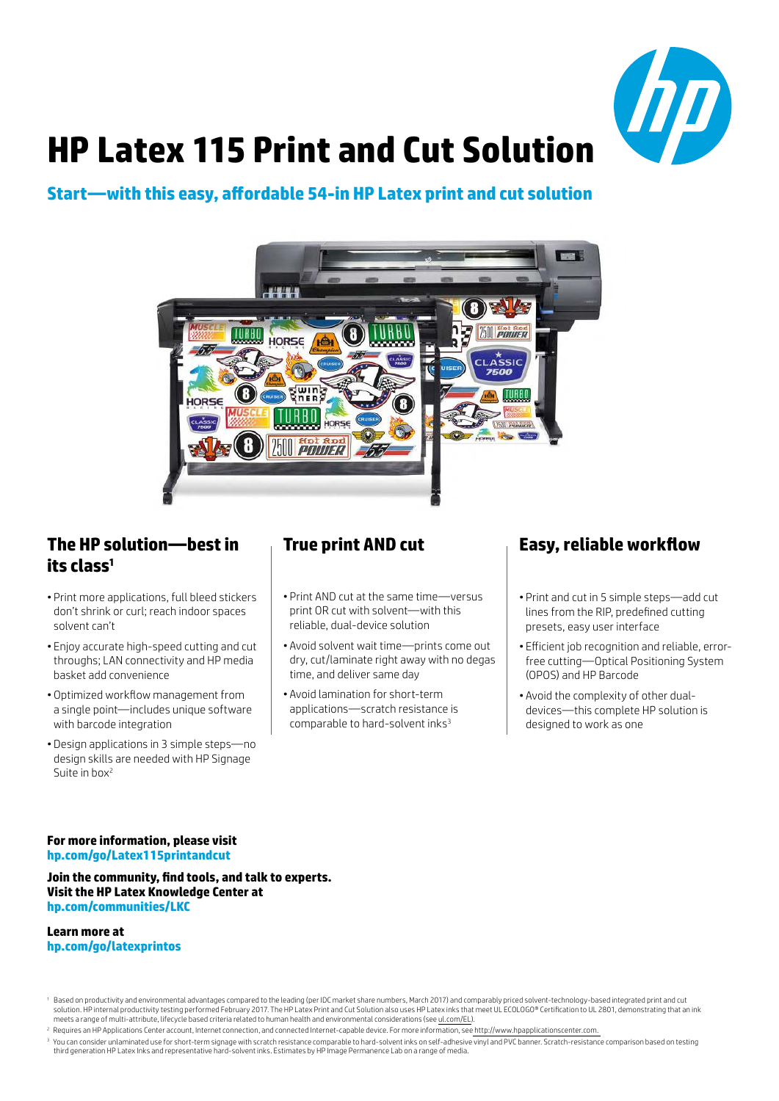

# **HP Latex 115 Print and Cut Solution**

## **Start—with this easy, affordable 54-in HP Latex print and cut solution**



## **The HP solution—best in its class<sup>1</sup>**

- Print more applications, full bleed stickers don't shrink or curl; reach indoor spaces solvent can't
- Enjoy accurate high-speed cutting and cut throughs; LAN connectivity and HP media basket add convenience
- Optimized workflow management from a single point—includes unique software with barcode integration
- Design applications in 3 simple steps—no design skills are needed with HP Signage Suite in box<sup>2</sup>

## **True print AND cut**

- Print AND cut at the same time—versus print OR cut with solvent—with this reliable, dual-device solution
- Avoid solvent wait time—prints come out dry, cut/laminate right away with no degas time, and deliver same day
- Avoid lamination for short-term applications—scratch resistance is comparable to hard-solvent inks<sup>3</sup>

## **Easy, reliable workflow**

- Print and cut in 5 simple steps—add cut lines from the RIP, predefined cutting presets, easy user interface
- Efficient job recognition and reliable, errorfree cutting—Optical Positioning System (OPOS) and HP Barcode
- Avoid the complexity of other dualdevices—this complete HP solution is designed to work as one

#### **For more information, please visit hp.com/go/Latex115printandcut**

#### **Join the community, find tools, and talk to experts. Visit the HP Latex Knowledge Center at hp.com/communities/LKC**

#### **Learn more at hp.com/go/latexprintos**

<sup>2</sup> Requires an HP Applications Center account, Internet connection, and connected Internet-capable device. For more information, see http://www.hpapplicationscenter.com.

<sup>&</sup>lt;sup>1</sup> Based on productivity and environmental advantages compared to the leading (per IDC market share numbers, March 2017) and comparably priced solvent-technology-based integrated print and cut solution. HP internal productivity testing performed February 2017. The HP Latex Print and Cut Solution also uses HP Latex inks that meet UL ECOLOGO® Certification to UL 2801, demonstrating that an ink meets a range of multi-attribute, lifecycle based criteria related to human health and environmental considerations (see ul.com/EL).

<sup>&</sup>lt;sup>3</sup> You can consider unlaminated use for short-term signage with scratch resistance comparable to hard-solvent inks on self-adhesive vinyl and PVC banner. Scratch-resistance comparison based on testing third generation HP Latex Inks and representative hard-solvent inks. Estimates by HP Image Permanence Lab on a range of media.